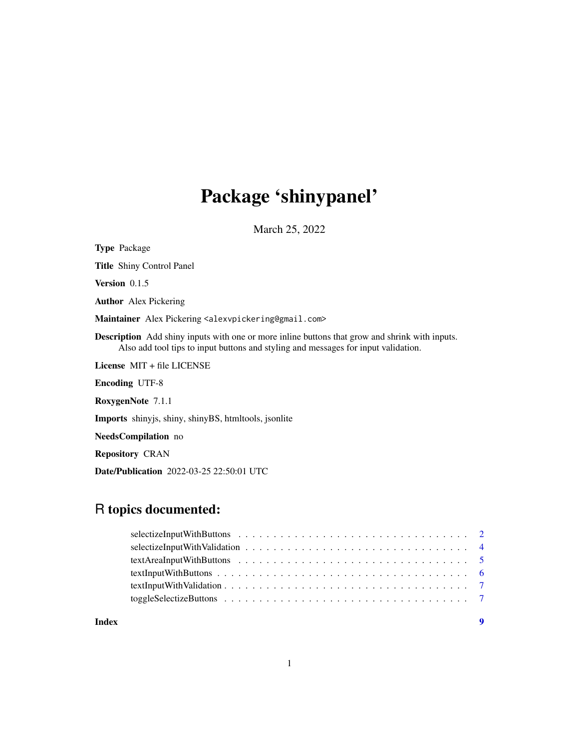# Package 'shinypanel'

March 25, 2022

<span id="page-0-0"></span>

| <b>Type Package</b>                                                                                                                                                                         |  |
|---------------------------------------------------------------------------------------------------------------------------------------------------------------------------------------------|--|
| <b>Title</b> Shiny Control Panel                                                                                                                                                            |  |
| <b>Version</b> $0.1.5$                                                                                                                                                                      |  |
| <b>Author</b> Alex Pickering                                                                                                                                                                |  |
| Maintainer Alex Pickering <alexvpickering@gmail.com></alexvpickering@gmail.com>                                                                                                             |  |
| <b>Description</b> Add shiny inputs with one or more inline buttons that grow and shrink with inputs.<br>Also add tool tips to input buttons and styling and messages for input validation. |  |
| License $MIT + file LICENSE$                                                                                                                                                                |  |
| <b>Encoding UTF-8</b>                                                                                                                                                                       |  |
| RoxygenNote 7.1.1                                                                                                                                                                           |  |
| <b>Imports</b> shinyjs, shiny, shinyBS, htmltools, jsonlite                                                                                                                                 |  |
| NeedsCompilation no                                                                                                                                                                         |  |
| <b>Repository CRAN</b>                                                                                                                                                                      |  |
| <b>Date/Publication</b> 2022-03-25 22:50:01 UTC                                                                                                                                             |  |

# R topics documented:

| Index | $\mathbf Q$ |
|-------|-------------|

1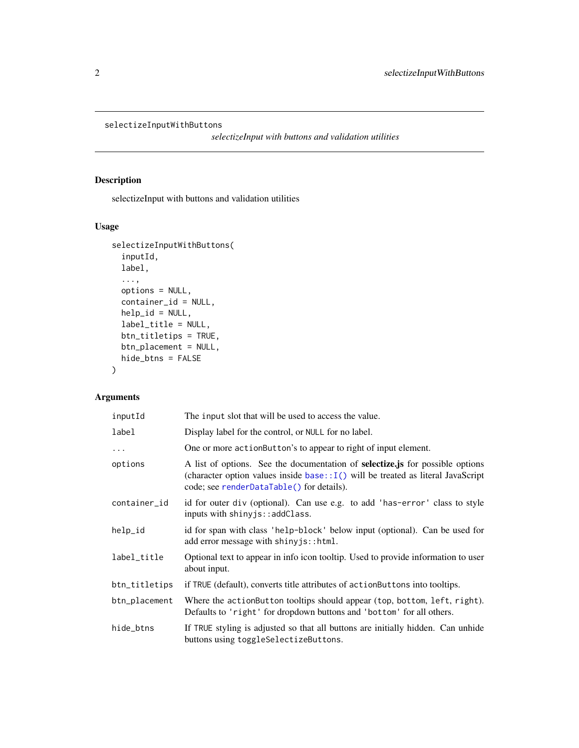```
selectizeInputWithButtons
```
*selectizeInput with buttons and validation utilities*

#### Description

selectizeInput with buttons and validation utilities

#### Usage

```
selectizeInputWithButtons(
  inputId,
 label,
  ...,
 options = NULL,
  container_id = NULL,
 help_id = NULL,label_title = NULL,
 btn_titletips = TRUE,
 btn_placement = NULL,
 hide_btns = FALSE
\mathcal{E}
```
#### Arguments

| inputId       | The input slot that will be used to access the value.                                                                                                                                                                    |
|---------------|--------------------------------------------------------------------------------------------------------------------------------------------------------------------------------------------------------------------------|
| label         | Display label for the control, or NULL for no label.                                                                                                                                                                     |
| $\cdots$      | One or more actionButton's to appear to right of input element.                                                                                                                                                          |
| options       | A list of options. See the documentation of <b>selectize</b> , is for possible options<br>(character option values inside base: $I()$ will be treated as literal JavaScript<br>code; see renderDataTable() for details). |
| container_id  | id for outer div (optional). Can use e.g. to add 'has-error' class to style<br>inputs with shinyjs::addClass.                                                                                                            |
| help_id       | id for span with class 'help-block' below input (optional). Can be used for<br>add error message with shiny js:: html.                                                                                                   |
| label_title   | Optional text to appear in info icon tooltip. Used to provide information to user<br>about input.                                                                                                                        |
| btn_titletips | if TRUE (default), converts title attributes of action Buttons into toolips.                                                                                                                                             |
| btn_placement | Where the actionButton tooltips should appear (top, bottom, left, right).<br>Defaults to 'right' for dropdown buttons and 'bottom' for all others.                                                                       |
| hide_btns     | If TRUE styling is adjusted so that all buttons are initially hidden. Can unhide<br>buttons using toggleSelectizeButtons.                                                                                                |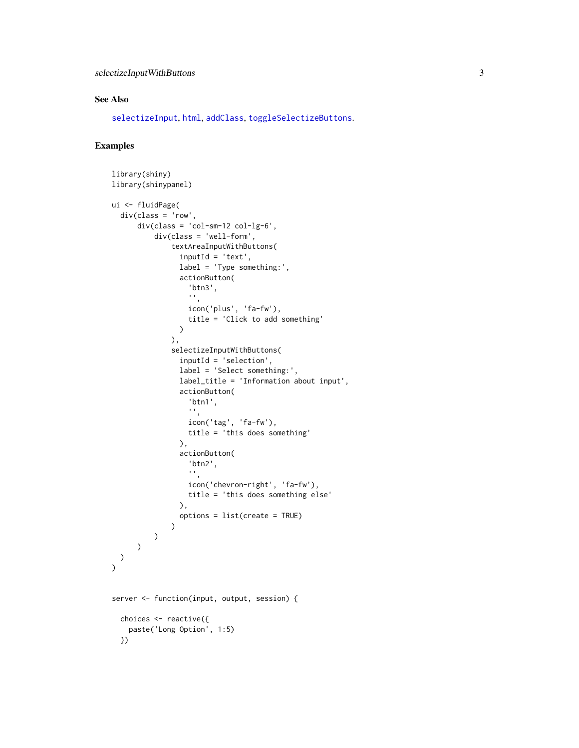#### <span id="page-2-0"></span>See Also

[selectizeInput](#page-0-0), [html](#page-0-0), [addClass](#page-0-0), [toggleSelectizeButtons](#page-6-1).

#### Examples

```
library(shiny)
library(shinypanel)
ui <- fluidPage(
  div(class = 'row',
      div(class = 'col-sm-12 col-lg-6',
          div(class = 'well-form',
              textAreaInputWithButtons(
                inputId = 'text'.label = 'Type something:',
                actionButton(
                  'btn3',
                  '',
                  icon('plus', 'fa-fw'),
                  title = 'Click to add something'
                )
              ),
              selectizeInputWithButtons(
                inputId = 'selection',
                label = 'Select something:',
                label_title = 'Information about input',
                actionButton(
                  'btn1',
                  '',
                  icon('tag', 'fa-fw'),
                  title = 'this does something'
                ),
                actionButton(
                  'btn2',
                  '',
                  icon('chevron-right', 'fa-fw'),
                  title = 'this does something else'
                ),
                options = list(create = TRUE)
              \lambda)
     \lambda)
\lambdaserver <- function(input, output, session) {
  choices <- reactive({
   paste('Long Option', 1:5)
  })
```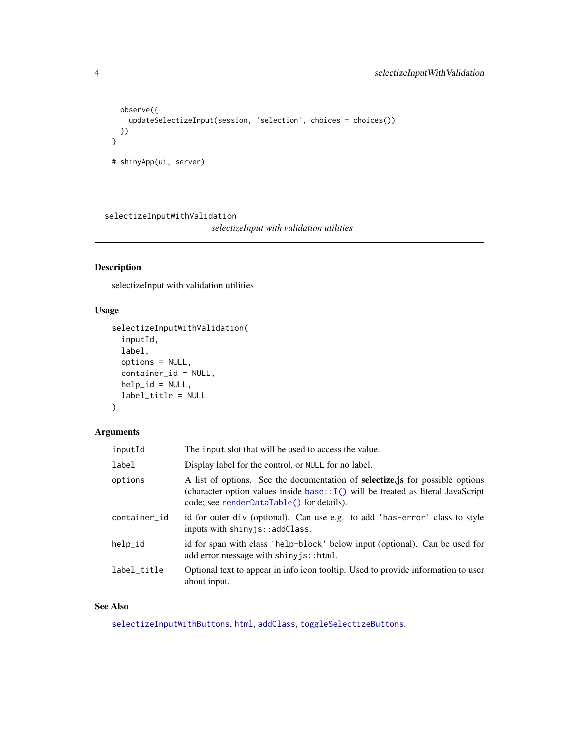```
observe({
   updateSelectizeInput(session, 'selection', choices = choices())
  })
}
# shinyApp(ui, server)
```
selectizeInputWithValidation

*selectizeInput with validation utilities*

#### Description

selectizeInput with validation utilities

#### Usage

```
selectizeInputWithValidation(
  inputId,
  label,
 options = NULL,
  container_id = NULL,
 help_id = NULL,label_title = NULL
\mathcal{E}
```
# Arguments

| inputId      | The input slot that will be used to access the value.                                                                                                                                                                     |
|--------------|---------------------------------------------------------------------------------------------------------------------------------------------------------------------------------------------------------------------------|
| label        | Display label for the control, or NULL for no label.                                                                                                                                                                      |
| options      | A list of options. See the documentation of <b>selectize</b> , is for possible options<br>(character option values inside base:: $I()$ will be treated as literal JavaScript<br>code; see renderDataTable() for details). |
| container_id | id for outer div (optional). Can use e.g. to add 'has-error' class to style<br>inputs with shinyjs::addClass.                                                                                                             |
| help_id      | id for span with class 'help-block' below input (optional). Can be used for<br>add error message with shiny js:: html.                                                                                                    |
| label title  | Optional text to appear in info icon tooltip. Used to provide information to user<br>about input.                                                                                                                         |

#### See Also

[selectizeInputWithButtons](#page-1-1), [html](#page-0-0), [addClass](#page-0-0), [toggleSelectizeButtons](#page-6-1).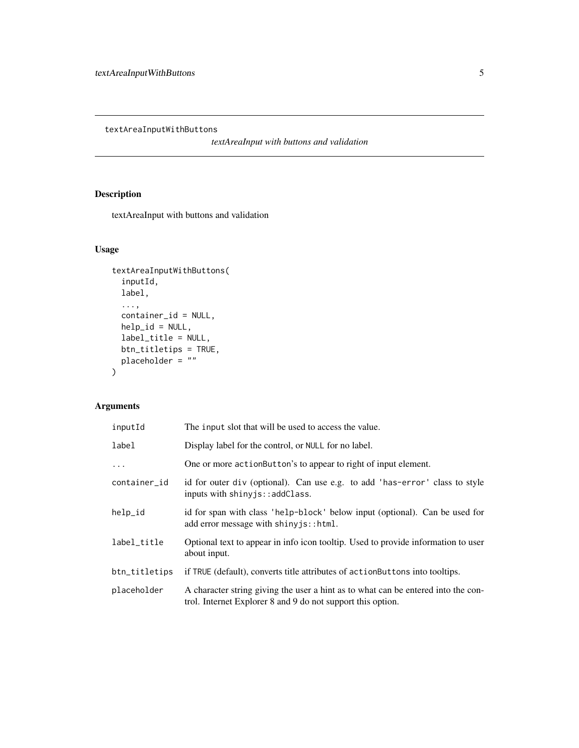<span id="page-4-0"></span>textAreaInputWithButtons

*textAreaInput with buttons and validation*

## Description

textAreaInput with buttons and validation

## Usage

```
textAreaInputWithButtons(
  inputId,
 label,
  ...,
 container_id = NULL,
 help_id = NULL,label_title = NULL,
 btn_titletips = TRUE,
 placeholder = ""
\mathcal{L}
```
#### Arguments

| inputId       | The input slot that will be used to access the value.                                                                                            |
|---------------|--------------------------------------------------------------------------------------------------------------------------------------------------|
| label         | Display label for the control, or NULL for no label.                                                                                             |
| .             | One or more action Button's to appear to right of input element.                                                                                 |
| container_id  | id for outer div (optional). Can use e.g. to add 'has-error' class to style<br>inputs with shinyjs::addClass.                                    |
| help_id       | id for span with class 'help-block' below input (optional). Can be used for<br>add error message with shiny js:: html.                           |
| label_title   | Optional text to appear in info icon tooltip. Used to provide information to user<br>about input.                                                |
| btn_titletips | if TRUE (default), converts title attributes of action Buttons into tooltips.                                                                    |
| placeholder   | A character string giving the user a hint as to what can be entered into the con-<br>trol. Internet Explorer 8 and 9 do not support this option. |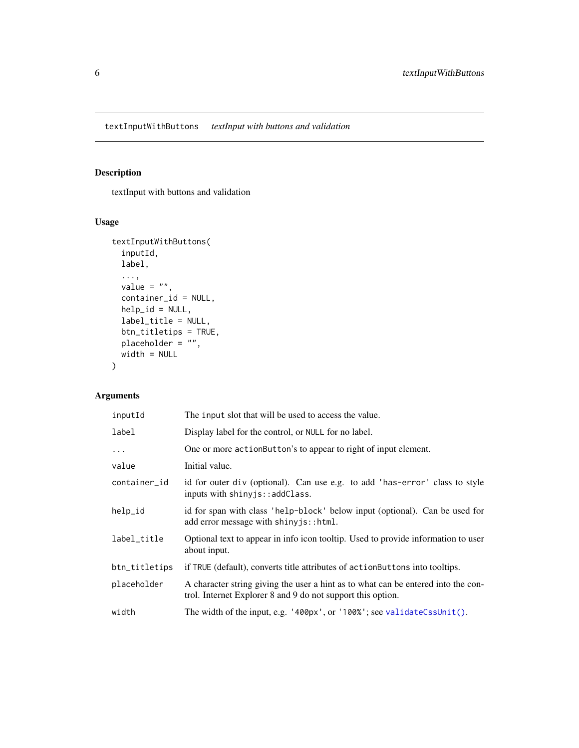## <span id="page-5-0"></span>Description

textInput with buttons and validation

#### Usage

```
textInputWithButtons(
  inputId,
 label,
  ...,
 value = ",
 container_id = NULL,
 help_id = NULL,
 label_title = NULL,
 btn_titletips = TRUE,
 placeholder = "",
 width = NULL
)
```
#### Arguments

| inputId       | The input slot that will be used to access the value.                                                                                            |
|---------------|--------------------------------------------------------------------------------------------------------------------------------------------------|
| label         | Display label for the control, or NULL for no label.                                                                                             |
| $\cdots$      | One or more action Button's to appear to right of input element.                                                                                 |
| value         | Initial value.                                                                                                                                   |
| container_id  | id for outer div (optional). Can use e.g. to add 'has-error' class to style<br>inputs with shinyjs::addClass.                                    |
| help_id       | id for span with class 'help-block' below input (optional). Can be used for<br>add error message with shiny js:: html.                           |
| label_title   | Optional text to appear in info icon tooltip. Used to provide information to user<br>about input.                                                |
| btn_titletips | if TRUE (default), converts title attributes of action Buttons into tooltips.                                                                    |
| placeholder   | A character string giving the user a hint as to what can be entered into the con-<br>trol. Internet Explorer 8 and 9 do not support this option. |
| width         | The width of the input, e.g. '400px', or '100%'; see validateCssUnit().                                                                          |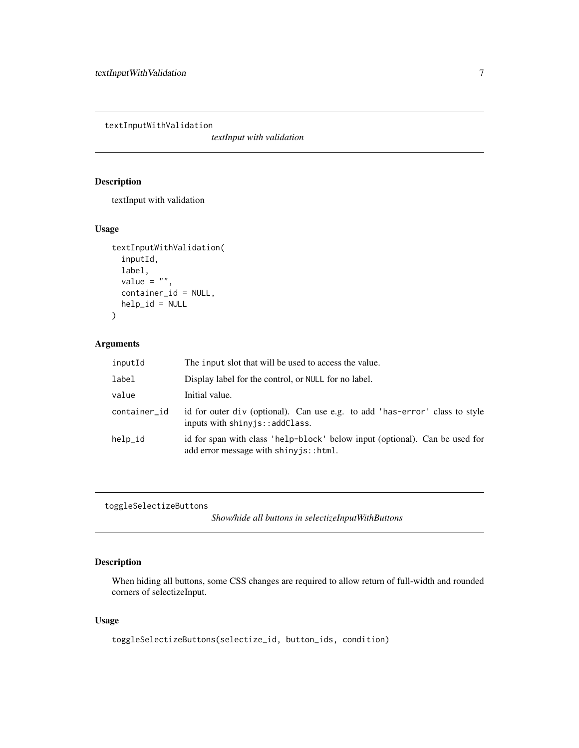<span id="page-6-0"></span>textInputWithValidation

*textInput with validation*

#### Description

textInput with validation

#### Usage

```
textInputWithValidation(
  inputId,
  label,
  value = ",
  container_id = NULL,
  help_id = NULL\mathcal{L}
```
#### Arguments

| inputId      | The input slot that will be used to access the value.                                                                                  |
|--------------|----------------------------------------------------------------------------------------------------------------------------------------|
| label        | Display label for the control, or NULL for no label.                                                                                   |
| value        | Initial value.                                                                                                                         |
| container_id | id for outer div (optional). Can use e.g. to add 'has-error' class to style<br>inputs with shiny is:: addClass.                        |
| help_id      | id for span with class 'help-block' below input (optional). Can be used for<br>add error message with $\sin y$ is: $:$ $\text{html}$ . |

```
toggleSelectizeButtons
```
*Show/hide all buttons in selectizeInputWithButtons*

# Description

When hiding all buttons, some CSS changes are required to allow return of full-width and rounded corners of selectizeInput.

#### Usage

```
toggleSelectizeButtons(selectize_id, button_ids, condition)
```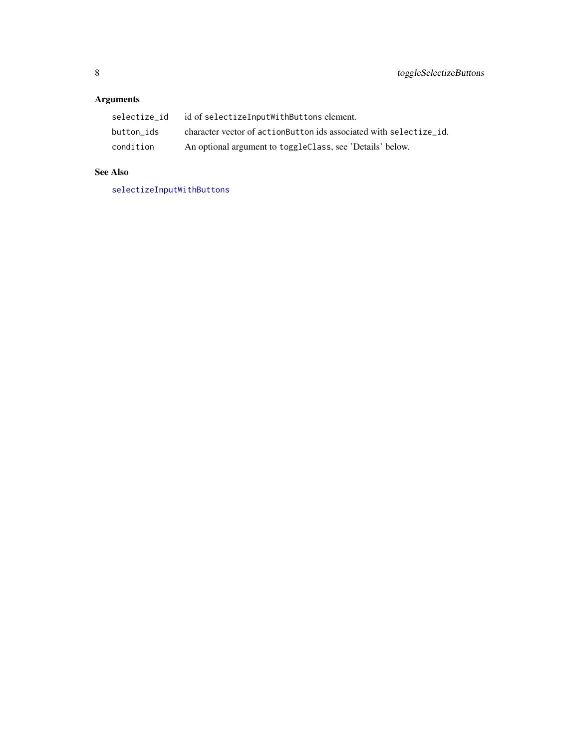# <span id="page-7-0"></span>Arguments

| selectize id | id of selectizeInputWithButtons element.                            |
|--------------|---------------------------------------------------------------------|
| button ids   | character vector of action Button ids associated with selectize id. |
| condition    | An optional argument to toggleClass, see 'Details' below.           |

# See Also

[selectizeInputWithButtons](#page-1-1)